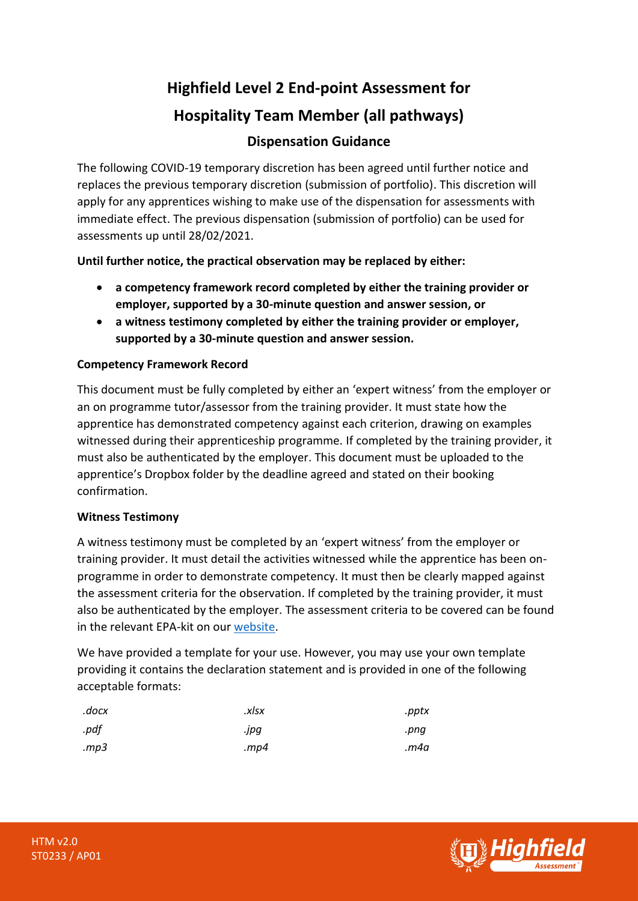# **Highfield Level 2 End-point Assessment for Hospitality Team Member (all pathways) Dispensation Guidance**

The following COVID-19 temporary discretion has been agreed until further notice and replaces the previous temporary discretion (submission of portfolio). This discretion will apply for any apprentices wishing to make use of the dispensation for assessments with immediate effect. The previous dispensation (submission of portfolio) can be used for assessments up until 28/02/2021.

**Until further notice, the practical observation may be replaced by either:**

- **a competency framework record completed by either the training provider or employer, supported by a 30-minute question and answer session, or**
- **a witness testimony completed by either the training provider or employer, supported by a 30-minute question and answer session.**

# **Competency Framework Record**

This document must be fully completed by either an 'expert witness' from the employer or an on programme tutor/assessor from the training provider. It must state how the apprentice has demonstrated competency against each criterion, drawing on examples witnessed during their apprenticeship programme. If completed by the training provider, it must also be authenticated by the employer. This document must be uploaded to the apprentice's Dropbox folder by the deadline agreed and stated on their booking confirmation.

## **Witness Testimony**

A witness testimony must be completed by an 'expert witness' from the employer or training provider. It must detail the activities witnessed while the apprentice has been onprogramme in order to demonstrate competency. It must then be clearly mapped against the assessment criteria for the observation. If completed by the training provider, it must also be authenticated by the employer. The assessment criteria to be covered can be found in the relevant EPA-kit on our [website.](https://www.highfieldassessment.com/hospitality-team-member-epa-kit-105)

We have provided a template for your use. However, you may use your own template providing it contains the declaration statement and is provided in one of the following acceptable formats:

| .docx | .xlsx   | .pptx |
|-------|---------|-------|
| .pdf  | .jpg    | .pnq  |
| mp3.  | . $mp4$ | m4a.  |